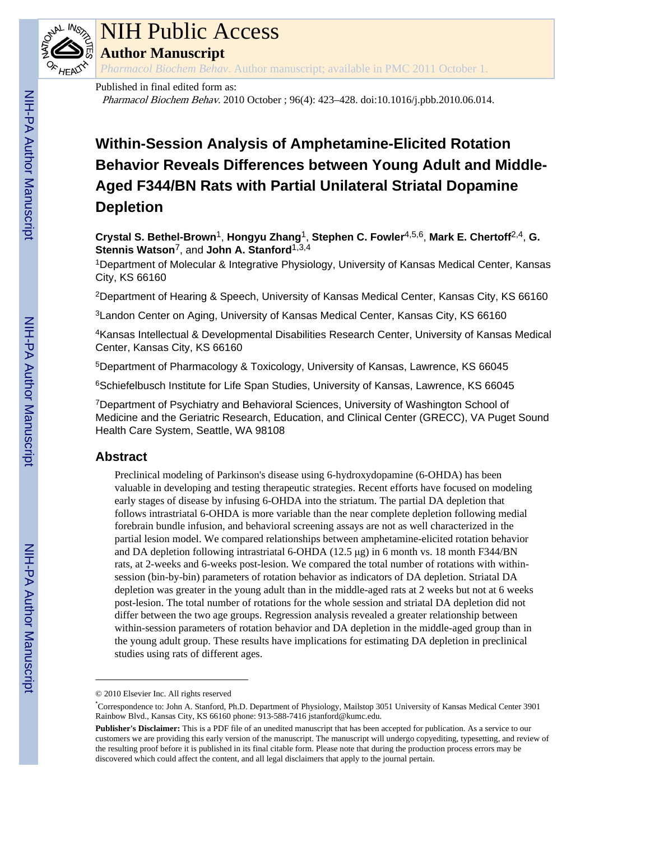

## NIH Public Access

**Author Manuscript**

*Pharmacol Biochem Behav*. Author manuscript; available in PMC 2011 October 1.

#### Published in final edited form as:

Pharmacol Biochem Behav. 2010 October ; 96(4): 423–428. doi:10.1016/j.pbb.2010.06.014.

### **Within-Session Analysis of Amphetamine-Elicited Rotation Behavior Reveals Differences between Young Adult and Middle-Aged F344/BN Rats with Partial Unilateral Striatal Dopamine Depletion**

**Crystal S. Bethel-Brown**1, **Hongyu Zhang**1, **Stephen C. Fowler**4,5,6, **Mark E. Chertoff**2,4, **G. Stennis Watson**7, and **John A. Stanford**1,3,4

<sup>1</sup>Department of Molecular & Integrative Physiology, University of Kansas Medical Center, Kansas City, KS 66160

<sup>2</sup>Department of Hearing & Speech, University of Kansas Medical Center, Kansas City, KS 66160

<sup>3</sup> Landon Center on Aging, University of Kansas Medical Center, Kansas City, KS 66160

<sup>4</sup>Kansas Intellectual & Developmental Disabilities Research Center, University of Kansas Medical Center, Kansas City, KS 66160

<sup>5</sup>Department of Pharmacology & Toxicology, University of Kansas, Lawrence, KS 66045

<sup>6</sup>Schiefelbusch Institute for Life Span Studies, University of Kansas, Lawrence, KS 66045

<sup>7</sup>Department of Psychiatry and Behavioral Sciences, University of Washington School of Medicine and the Geriatric Research, Education, and Clinical Center (GRECC), VA Puget Sound Health Care System, Seattle, WA 98108

#### **Abstract**

Preclinical modeling of Parkinson's disease using 6-hydroxydopamine (6-OHDA) has been valuable in developing and testing therapeutic strategies. Recent efforts have focused on modeling early stages of disease by infusing 6-OHDA into the striatum. The partial DA depletion that follows intrastriatal 6-OHDA is more variable than the near complete depletion following medial forebrain bundle infusion, and behavioral screening assays are not as well characterized in the partial lesion model. We compared relationships between amphetamine-elicited rotation behavior and DA depletion following intrastriatal 6-OHDA (12.5 μg) in 6 month vs. 18 month F344/BN rats, at 2-weeks and 6-weeks post-lesion. We compared the total number of rotations with withinsession (bin-by-bin) parameters of rotation behavior as indicators of DA depletion. Striatal DA depletion was greater in the young adult than in the middle-aged rats at 2 weeks but not at 6 weeks post-lesion. The total number of rotations for the whole session and striatal DA depletion did not differ between the two age groups. Regression analysis revealed a greater relationship between within-session parameters of rotation behavior and DA depletion in the middle-aged group than in the young adult group. These results have implications for estimating DA depletion in preclinical studies using rats of different ages.

<sup>© 2010</sup> Elsevier Inc. All rights reserved

<sup>\*</sup>Correspondence to: John A. Stanford, Ph.D. Department of Physiology, Mailstop 3051 University of Kansas Medical Center 3901 Rainbow Blvd., Kansas City, KS 66160 phone: 913-588-7416 jstanford@kumc.edu.

**Publisher's Disclaimer:** This is a PDF file of an unedited manuscript that has been accepted for publication. As a service to our customers we are providing this early version of the manuscript. The manuscript will undergo copyediting, typesetting, and review of the resulting proof before it is published in its final citable form. Please note that during the production process errors may be discovered which could affect the content, and all legal disclaimers that apply to the journal pertain.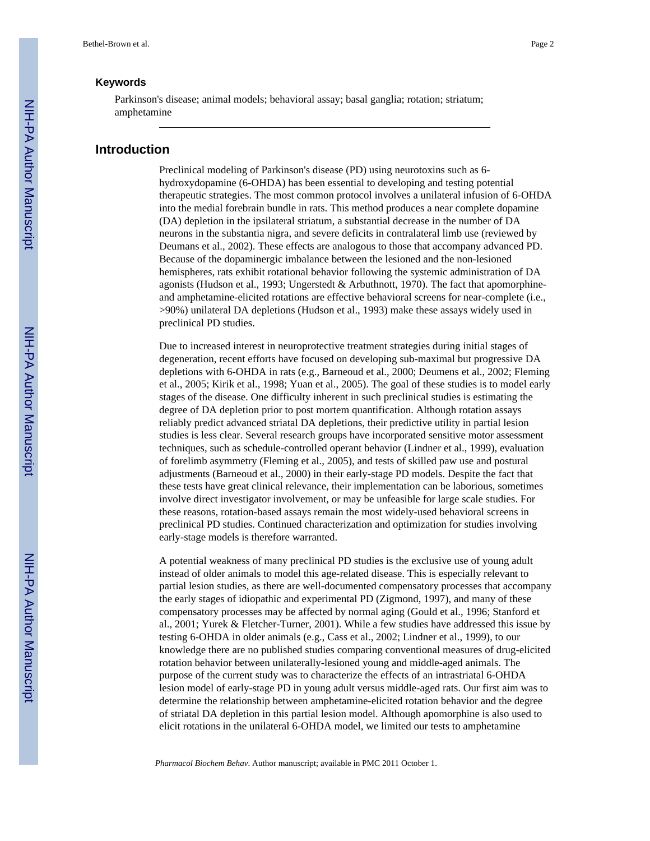#### **Keywords**

Parkinson's disease; animal models; behavioral assay; basal ganglia; rotation; striatum; amphetamine

#### **Introduction**

Preclinical modeling of Parkinson's disease (PD) using neurotoxins such as 6 hydroxydopamine (6-OHDA) has been essential to developing and testing potential therapeutic strategies. The most common protocol involves a unilateral infusion of 6-OHDA into the medial forebrain bundle in rats. This method produces a near complete dopamine (DA) depletion in the ipsilateral striatum, a substantial decrease in the number of DA neurons in the substantia nigra, and severe deficits in contralateral limb use (reviewed by Deumans et al., 2002). These effects are analogous to those that accompany advanced PD. Because of the dopaminergic imbalance between the lesioned and the non-lesioned hemispheres, rats exhibit rotational behavior following the systemic administration of DA agonists (Hudson et al., 1993; Ungerstedt & Arbuthnott, 1970). The fact that apomorphineand amphetamine-elicited rotations are effective behavioral screens for near-complete (i.e., >90%) unilateral DA depletions (Hudson et al., 1993) make these assays widely used in preclinical PD studies.

Due to increased interest in neuroprotective treatment strategies during initial stages of degeneration, recent efforts have focused on developing sub-maximal but progressive DA depletions with 6-OHDA in rats (e.g., Barneoud et al., 2000; Deumens et al., 2002; Fleming et al., 2005; Kirik et al., 1998; Yuan et al., 2005). The goal of these studies is to model early stages of the disease. One difficulty inherent in such preclinical studies is estimating the degree of DA depletion prior to post mortem quantification. Although rotation assays reliably predict advanced striatal DA depletions, their predictive utility in partial lesion studies is less clear. Several research groups have incorporated sensitive motor assessment techniques, such as schedule-controlled operant behavior (Lindner et al., 1999), evaluation of forelimb asymmetry (Fleming et al., 2005), and tests of skilled paw use and postural adjustments (Barneoud et al., 2000) in their early-stage PD models. Despite the fact that these tests have great clinical relevance, their implementation can be laborious, sometimes involve direct investigator involvement, or may be unfeasible for large scale studies. For these reasons, rotation-based assays remain the most widely-used behavioral screens in preclinical PD studies. Continued characterization and optimization for studies involving early-stage models is therefore warranted.

A potential weakness of many preclinical PD studies is the exclusive use of young adult instead of older animals to model this age-related disease. This is especially relevant to partial lesion studies, as there are well-documented compensatory processes that accompany the early stages of idiopathic and experimental PD (Zigmond, 1997), and many of these compensatory processes may be affected by normal aging (Gould et al., 1996; Stanford et al., 2001; Yurek & Fletcher-Turner, 2001). While a few studies have addressed this issue by testing 6-OHDA in older animals (e.g., Cass et al., 2002; Lindner et al., 1999), to our knowledge there are no published studies comparing conventional measures of drug-elicited rotation behavior between unilaterally-lesioned young and middle-aged animals. The purpose of the current study was to characterize the effects of an intrastriatal 6-OHDA lesion model of early-stage PD in young adult versus middle-aged rats. Our first aim was to determine the relationship between amphetamine-elicited rotation behavior and the degree of striatal DA depletion in this partial lesion model. Although apomorphine is also used to elicit rotations in the unilateral 6-OHDA model, we limited our tests to amphetamine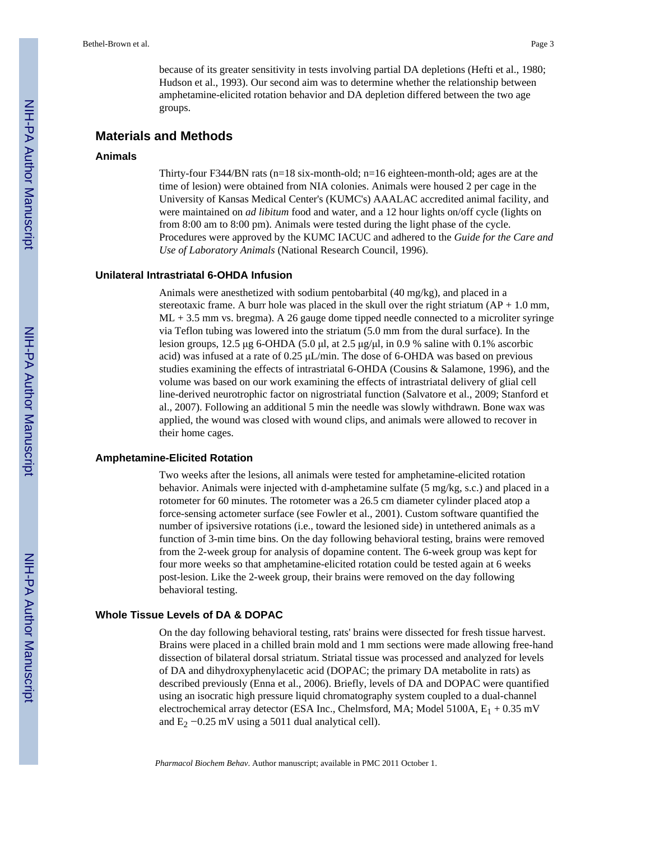because of its greater sensitivity in tests involving partial DA depletions (Hefti et al., 1980; Hudson et al., 1993). Our second aim was to determine whether the relationship between amphetamine-elicited rotation behavior and DA depletion differed between the two age groups.

#### **Materials and Methods**

#### **Animals**

Thirty-four F344/BN rats ( $n=18$  six-month-old;  $n=16$  eighteen-month-old; ages are at the time of lesion) were obtained from NIA colonies. Animals were housed 2 per cage in the University of Kansas Medical Center's (KUMC's) AAALAC accredited animal facility, and were maintained on *ad libitum* food and water, and a 12 hour lights on/off cycle (lights on from 8:00 am to 8:00 pm). Animals were tested during the light phase of the cycle. Procedures were approved by the KUMC IACUC and adhered to the *Guide for the Care and Use of Laboratory Animals* (National Research Council, 1996).

#### **Unilateral Intrastriatal 6-OHDA Infusion**

Animals were anesthetized with sodium pentobarbital (40 mg/kg), and placed in a stereotaxic frame. A burr hole was placed in the skull over the right striatum  $AP + 1.0$  mm, ML + 3.5 mm vs. bregma). A 26 gauge dome tipped needle connected to a microliter syringe via Teflon tubing was lowered into the striatum (5.0 mm from the dural surface). In the lesion groups, 12.5 μg 6-OHDA (5.0 μl, at 2.5 μg/μl, in 0.9 % saline with 0.1% ascorbic acid) was infused at a rate of 0.25 μL/min. The dose of 6-OHDA was based on previous studies examining the effects of intrastriatal 6-OHDA (Cousins & Salamone, 1996), and the volume was based on our work examining the effects of intrastriatal delivery of glial cell line-derived neurotrophic factor on nigrostriatal function (Salvatore et al., 2009; Stanford et al., 2007). Following an additional 5 min the needle was slowly withdrawn. Bone wax was applied, the wound was closed with wound clips, and animals were allowed to recover in their home cages.

#### **Amphetamine-Elicited Rotation**

Two weeks after the lesions, all animals were tested for amphetamine-elicited rotation behavior. Animals were injected with d-amphetamine sulfate (5 mg/kg, s.c.) and placed in a rotometer for 60 minutes. The rotometer was a 26.5 cm diameter cylinder placed atop a force-sensing actometer surface (see Fowler et al., 2001). Custom software quantified the number of ipsiversive rotations (i.e., toward the lesioned side) in untethered animals as a function of 3-min time bins. On the day following behavioral testing, brains were removed from the 2-week group for analysis of dopamine content. The 6-week group was kept for four more weeks so that amphetamine-elicited rotation could be tested again at 6 weeks post-lesion. Like the 2-week group, their brains were removed on the day following behavioral testing.

#### **Whole Tissue Levels of DA & DOPAC**

On the day following behavioral testing, rats' brains were dissected for fresh tissue harvest. Brains were placed in a chilled brain mold and 1 mm sections were made allowing free-hand dissection of bilateral dorsal striatum. Striatal tissue was processed and analyzed for levels of DA and dihydroxyphenylacetic acid (DOPAC; the primary DA metabolite in rats) as described previously (Enna et al., 2006). Briefly, levels of DA and DOPAC were quantified using an isocratic high pressure liquid chromatography system coupled to a dual-channel electrochemical array detector (ESA Inc., Chelmsford, MA; Model 5100A,  $E_1 + 0.35$  mV and  $E_2$  −0.25 mV using a 5011 dual analytical cell).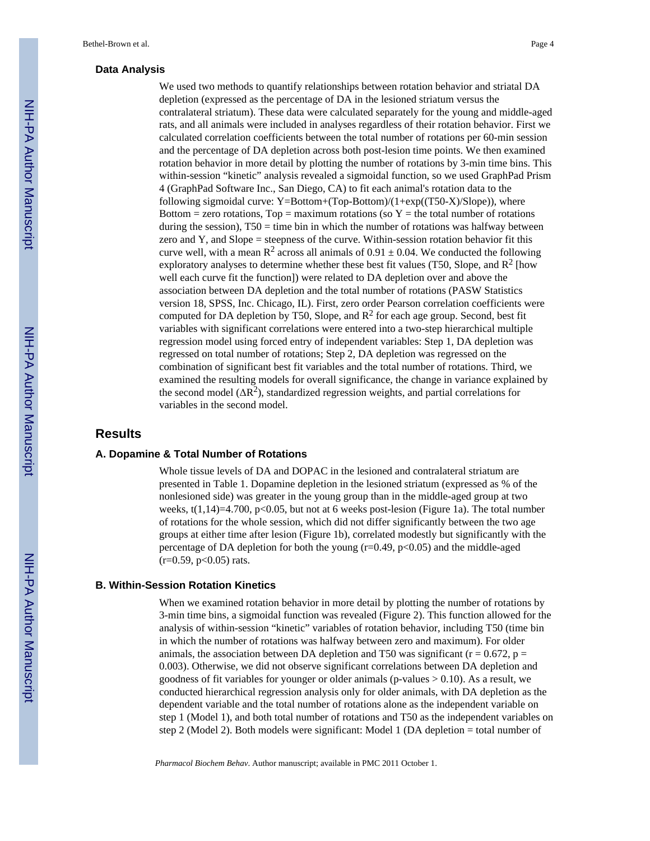#### **Data Analysis**

We used two methods to quantify relationships between rotation behavior and striatal DA depletion (expressed as the percentage of DA in the lesioned striatum versus the contralateral striatum). These data were calculated separately for the young and middle-aged rats, and all animals were included in analyses regardless of their rotation behavior. First we calculated correlation coefficients between the total number of rotations per 60-min session and the percentage of DA depletion across both post-lesion time points. We then examined rotation behavior in more detail by plotting the number of rotations by 3-min time bins. This within-session "kinetic" analysis revealed a sigmoidal function, so we used GraphPad Prism 4 (GraphPad Software Inc., San Diego, CA) to fit each animal's rotation data to the following sigmoidal curve: Y=Bottom+(Top-Bottom)/(1+exp( $(T50-X)/S$ lope)), where Bottom = zero rotations,  $Top =$  maximum rotations (so  $Y =$  the total number of rotations during the session),  $T50 = \text{time bin in which the number of rotations was halfway between}$ zero and Y, and Slope  $=$  steepness of the curve. Within-session rotation behavior fit this curve well, with a mean  $R^2$  across all animals of 0.91  $\pm$  0.04. We conducted the following exploratory analyses to determine whether these best fit values (T50, Slope, and  $\mathbb{R}^2$  [how well each curve fit the function]) were related to DA depletion over and above the association between DA depletion and the total number of rotations (PASW Statistics version 18, SPSS, Inc. Chicago, IL). First, zero order Pearson correlation coefficients were computed for DA depletion by T50, Slope, and  $R^2$  for each age group. Second, best fit variables with significant correlations were entered into a two-step hierarchical multiple regression model using forced entry of independent variables: Step 1, DA depletion was regressed on total number of rotations; Step 2, DA depletion was regressed on the combination of significant best fit variables and the total number of rotations. Third, we examined the resulting models for overall significance, the change in variance explained by the second model  $(\Delta R^2)$ , standardized regression weights, and partial correlations for variables in the second model.

#### **Results**

#### **A. Dopamine & Total Number of Rotations**

Whole tissue levels of DA and DOPAC in the lesioned and contralateral striatum are presented in Table 1. Dopamine depletion in the lesioned striatum (expressed as % of the nonlesioned side) was greater in the young group than in the middle-aged group at two weeks,  $t(1,14)=4.700$ ,  $p<0.05$ , but not at 6 weeks post-lesion (Figure 1a). The total number of rotations for the whole session, which did not differ significantly between the two age groups at either time after lesion (Figure 1b), correlated modestly but significantly with the percentage of DA depletion for both the young  $(r=0.49, p<0.05)$  and the middle-aged  $(r=0.59, p<0.05)$  rats.

#### **B. Within-Session Rotation Kinetics**

When we examined rotation behavior in more detail by plotting the number of rotations by 3-min time bins, a sigmoidal function was revealed (Figure 2). This function allowed for the analysis of within-session "kinetic" variables of rotation behavior, including T50 (time bin in which the number of rotations was halfway between zero and maximum). For older animals, the association between DA depletion and T50 was significant ( $r = 0.672$ ,  $p =$ 0.003). Otherwise, we did not observe significant correlations between DA depletion and goodness of fit variables for younger or older animals (p-values  $> 0.10$ ). As a result, we conducted hierarchical regression analysis only for older animals, with DA depletion as the dependent variable and the total number of rotations alone as the independent variable on step 1 (Model 1), and both total number of rotations and T50 as the independent variables on step 2 (Model 2). Both models were significant: Model 1 (DA depletion = total number of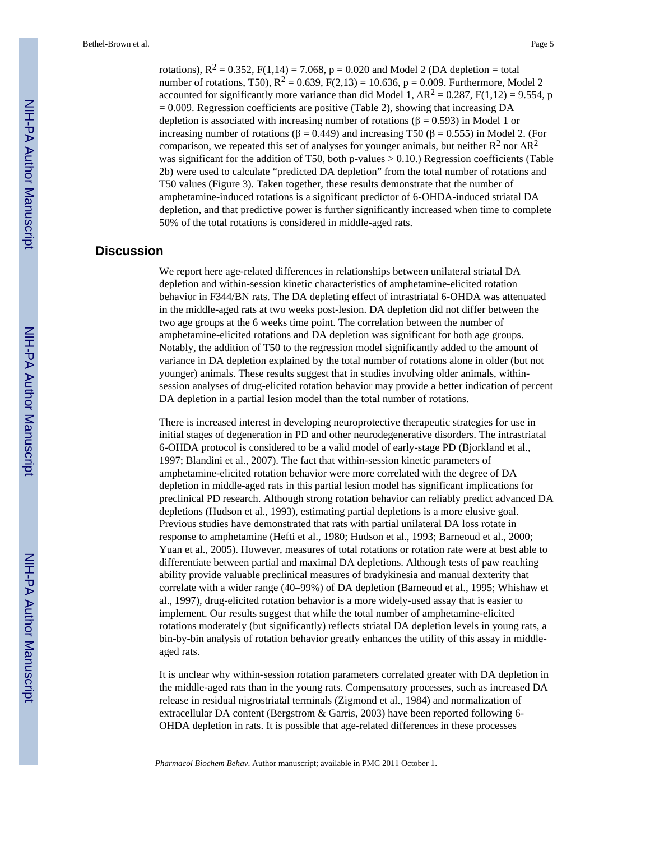rotations),  $R^2 = 0.352$ ,  $F(1,14) = 7.068$ ,  $p = 0.020$  and Model 2 (DA depletion = total number of rotations, T50),  $R^2 = 0.639$ ,  $F(2,13) = 10.636$ ,  $p = 0.009$ . Furthermore, Model 2 accounted for significantly more variance than did Model 1,  $\Delta R^2 = 0.287$ , F(1,12) = 9.554, p  $= 0.009$ . Regression coefficients are positive (Table 2), showing that increasing DA depletion is associated with increasing number of rotations ( $\beta$  = 0.593) in Model 1 or increasing number of rotations (β = 0.449) and increasing T50 (β = 0.555) in Model 2. (For comparison, we repeated this set of analyses for younger animals, but neither  $R^2$  nor  $\Delta R^2$ was significant for the addition of T50, both p-values  $> 0.10$ .) Regression coefficients (Table 2b) were used to calculate "predicted DA depletion" from the total number of rotations and T50 values (Figure 3). Taken together, these results demonstrate that the number of amphetamine-induced rotations is a significant predictor of 6-OHDA-induced striatal DA depletion, and that predictive power is further significantly increased when time to complete 50% of the total rotations is considered in middle-aged rats.

#### **Discussion**

We report here age-related differences in relationships between unilateral striatal DA depletion and within-session kinetic characteristics of amphetamine-elicited rotation behavior in F344/BN rats. The DA depleting effect of intrastriatal 6-OHDA was attenuated in the middle-aged rats at two weeks post-lesion. DA depletion did not differ between the two age groups at the 6 weeks time point. The correlation between the number of amphetamine-elicited rotations and DA depletion was significant for both age groups. Notably, the addition of T50 to the regression model significantly added to the amount of variance in DA depletion explained by the total number of rotations alone in older (but not younger) animals. These results suggest that in studies involving older animals, withinsession analyses of drug-elicited rotation behavior may provide a better indication of percent DA depletion in a partial lesion model than the total number of rotations.

There is increased interest in developing neuroprotective therapeutic strategies for use in initial stages of degeneration in PD and other neurodegenerative disorders. The intrastriatal 6-OHDA protocol is considered to be a valid model of early-stage PD (Bjorkland et al., 1997; Blandini et al., 2007). The fact that within-session kinetic parameters of amphetamine-elicited rotation behavior were more correlated with the degree of DA depletion in middle-aged rats in this partial lesion model has significant implications for preclinical PD research. Although strong rotation behavior can reliably predict advanced DA depletions (Hudson et al., 1993), estimating partial depletions is a more elusive goal. Previous studies have demonstrated that rats with partial unilateral DA loss rotate in response to amphetamine (Hefti et al., 1980; Hudson et al., 1993; Barneoud et al., 2000; Yuan et al., 2005). However, measures of total rotations or rotation rate were at best able to differentiate between partial and maximal DA depletions. Although tests of paw reaching ability provide valuable preclinical measures of bradykinesia and manual dexterity that correlate with a wider range (40–99%) of DA depletion (Barneoud et al., 1995; Whishaw et al., 1997), drug-elicited rotation behavior is a more widely-used assay that is easier to implement. Our results suggest that while the total number of amphetamine-elicited rotations moderately (but significantly) reflects striatal DA depletion levels in young rats, a bin-by-bin analysis of rotation behavior greatly enhances the utility of this assay in middleaged rats.

It is unclear why within-session rotation parameters correlated greater with DA depletion in the middle-aged rats than in the young rats. Compensatory processes, such as increased DA release in residual nigrostriatal terminals (Zigmond et al., 1984) and normalization of extracellular DA content (Bergstrom & Garris, 2003) have been reported following 6- OHDA depletion in rats. It is possible that age-related differences in these processes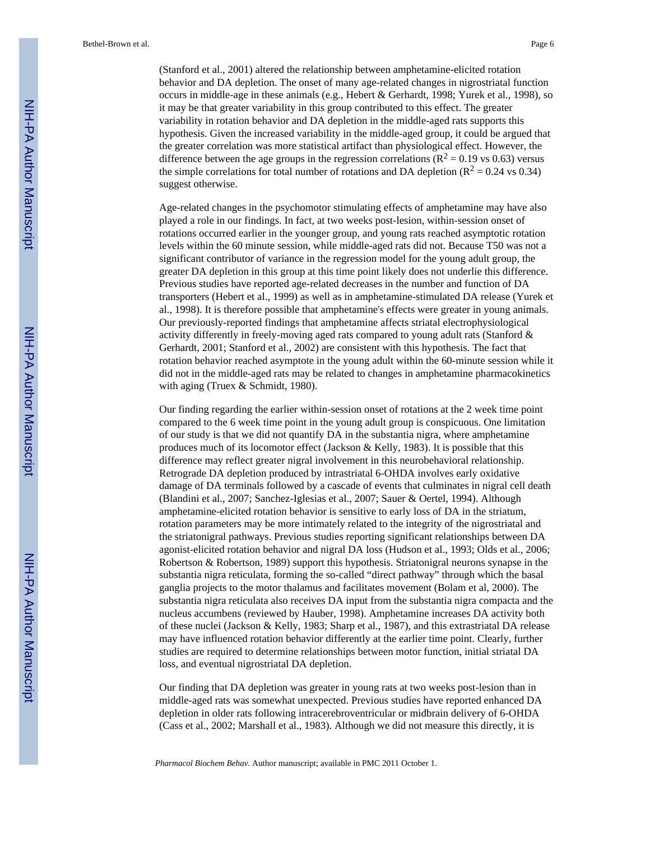(Stanford et al., 2001) altered the relationship between amphetamine-elicited rotation behavior and DA depletion. The onset of many age-related changes in nigrostriatal function occurs in middle-age in these animals (e.g., Hebert & Gerhardt, 1998; Yurek et al., 1998), so it may be that greater variability in this group contributed to this effect. The greater variability in rotation behavior and DA depletion in the middle-aged rats supports this hypothesis. Given the increased variability in the middle-aged group, it could be argued that the greater correlation was more statistical artifact than physiological effect. However, the difference between the age groups in the regression correlations ( $\mathbb{R}^2 = 0.19$  vs 0.63) versus the simple correlations for total number of rotations and DA depletion ( $R^2 = 0.24$  vs 0.34) suggest otherwise.

Age-related changes in the psychomotor stimulating effects of amphetamine may have also played a role in our findings. In fact, at two weeks post-lesion, within-session onset of rotations occurred earlier in the younger group, and young rats reached asymptotic rotation levels within the 60 minute session, while middle-aged rats did not. Because T50 was not a significant contributor of variance in the regression model for the young adult group, the greater DA depletion in this group at this time point likely does not underlie this difference. Previous studies have reported age-related decreases in the number and function of DA transporters (Hebert et al., 1999) as well as in amphetamine-stimulated DA release (Yurek et al., 1998). It is therefore possible that amphetamine's effects were greater in young animals. Our previously-reported findings that amphetamine affects striatal electrophysiological activity differently in freely-moving aged rats compared to young adult rats (Stanford & Gerhardt, 2001; Stanford et al., 2002) are consistent with this hypothesis. The fact that rotation behavior reached asymptote in the young adult within the 60-minute session while it did not in the middle-aged rats may be related to changes in amphetamine pharmacokinetics with aging (Truex & Schmidt, 1980).

Our finding regarding the earlier within-session onset of rotations at the 2 week time point compared to the 6 week time point in the young adult group is conspicuous. One limitation of our study is that we did not quantify DA in the substantia nigra, where amphetamine produces much of its locomotor effect (Jackson & Kelly, 1983). It is possible that this difference may reflect greater nigral involvement in this neurobehavioral relationship. Retrograde DA depletion produced by intrastriatal 6-OHDA involves early oxidative damage of DA terminals followed by a cascade of events that culminates in nigral cell death (Blandini et al., 2007; Sanchez-Iglesias et al., 2007; Sauer & Oertel, 1994). Although amphetamine-elicited rotation behavior is sensitive to early loss of DA in the striatum, rotation parameters may be more intimately related to the integrity of the nigrostriatal and the striatonigral pathways. Previous studies reporting significant relationships between DA agonist-elicited rotation behavior and nigral DA loss (Hudson et al., 1993; Olds et al., 2006; Robertson & Robertson, 1989) support this hypothesis. Striatonigral neurons synapse in the substantia nigra reticulata, forming the so-called "direct pathway" through which the basal ganglia projects to the motor thalamus and facilitates movement (Bolam et al, 2000). The substantia nigra reticulata also receives DA input from the substantia nigra compacta and the nucleus accumbens (reviewed by Hauber, 1998). Amphetamine increases DA activity both of these nuclei (Jackson & Kelly, 1983; Sharp et al., 1987), and this extrastriatal DA release may have influenced rotation behavior differently at the earlier time point. Clearly, further studies are required to determine relationships between motor function, initial striatal DA loss, and eventual nigrostriatal DA depletion.

Our finding that DA depletion was greater in young rats at two weeks post-lesion than in middle-aged rats was somewhat unexpected. Previous studies have reported enhanced DA depletion in older rats following intracerebroventricular or midbrain delivery of 6-OHDA (Cass et al., 2002; Marshall et al., 1983). Although we did not measure this directly, it is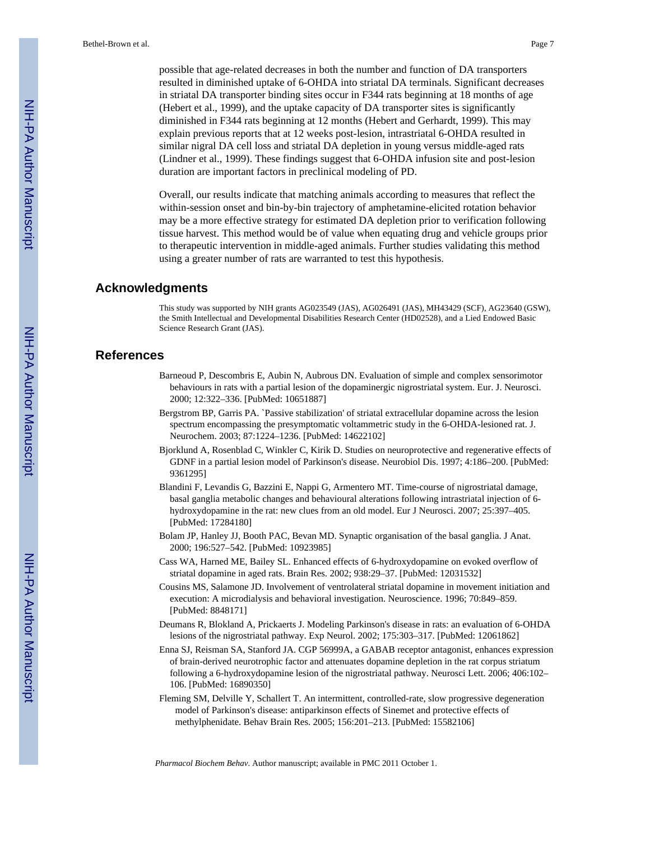possible that age-related decreases in both the number and function of DA transporters resulted in diminished uptake of 6-OHDA into striatal DA terminals. Significant decreases in striatal DA transporter binding sites occur in F344 rats beginning at 18 months of age (Hebert et al., 1999), and the uptake capacity of DA transporter sites is significantly diminished in F344 rats beginning at 12 months (Hebert and Gerhardt, 1999). This may explain previous reports that at 12 weeks post-lesion, intrastriatal 6-OHDA resulted in similar nigral DA cell loss and striatal DA depletion in young versus middle-aged rats (Lindner et al., 1999). These findings suggest that 6-OHDA infusion site and post-lesion duration are important factors in preclinical modeling of PD.

Overall, our results indicate that matching animals according to measures that reflect the within-session onset and bin-by-bin trajectory of amphetamine-elicited rotation behavior may be a more effective strategy for estimated DA depletion prior to verification following tissue harvest. This method would be of value when equating drug and vehicle groups prior to therapeutic intervention in middle-aged animals. Further studies validating this method using a greater number of rats are warranted to test this hypothesis.

#### **Acknowledgments**

This study was supported by NIH grants AG023549 (JAS), AG026491 (JAS), MH43429 (SCF), AG23640 (GSW), the Smith Intellectual and Developmental Disabilities Research Center (HD02528), and a Lied Endowed Basic Science Research Grant (JAS).

#### **References**

- Barneoud P, Descombris E, Aubin N, Aubrous DN. Evaluation of simple and complex sensorimotor behaviours in rats with a partial lesion of the dopaminergic nigrostriatal system. Eur. J. Neurosci. 2000; 12:322–336. [PubMed: 10651887]
- Bergstrom BP, Garris PA. `Passive stabilization' of striatal extracellular dopamine across the lesion spectrum encompassing the presymptomatic voltammetric study in the 6-OHDA-lesioned rat. J. Neurochem. 2003; 87:1224–1236. [PubMed: 14622102]
- Bjorklund A, Rosenblad C, Winkler C, Kirik D. Studies on neuroprotective and regenerative effects of GDNF in a partial lesion model of Parkinson's disease. Neurobiol Dis. 1997; 4:186–200. [PubMed: 9361295]
- Blandini F, Levandis G, Bazzini E, Nappi G, Armentero MT. Time-course of nigrostriatal damage, basal ganglia metabolic changes and behavioural alterations following intrastriatal injection of 6 hydroxydopamine in the rat: new clues from an old model. Eur J Neurosci. 2007; 25:397–405. [PubMed: 17284180]
- Bolam JP, Hanley JJ, Booth PAC, Bevan MD. Synaptic organisation of the basal ganglia. J Anat. 2000; 196:527–542. [PubMed: 10923985]
- Cass WA, Harned ME, Bailey SL. Enhanced effects of 6-hydroxydopamine on evoked overflow of striatal dopamine in aged rats. Brain Res. 2002; 938:29–37. [PubMed: 12031532]
- Cousins MS, Salamone JD. Involvement of ventrolateral striatal dopamine in movement initiation and execution: A microdialysis and behavioral investigation. Neuroscience. 1996; 70:849–859. [PubMed: 8848171]
- Deumans R, Blokland A, Prickaerts J. Modeling Parkinson's disease in rats: an evaluation of 6-OHDA lesions of the nigrostriatal pathway. Exp Neurol. 2002; 175:303–317. [PubMed: 12061862]
- Enna SJ, Reisman SA, Stanford JA. CGP 56999A, a GABAB receptor antagonist, enhances expression of brain-derived neurotrophic factor and attenuates dopamine depletion in the rat corpus striatum following a 6-hydroxydopamine lesion of the nigrostriatal pathway. Neurosci Lett. 2006; 406:102– 106. [PubMed: 16890350]
- Fleming SM, Delville Y, Schallert T. An intermittent, controlled-rate, slow progressive degeneration model of Parkinson's disease: antiparkinson effects of Sinemet and protective effects of methylphenidate. Behav Brain Res. 2005; 156:201–213. [PubMed: 15582106]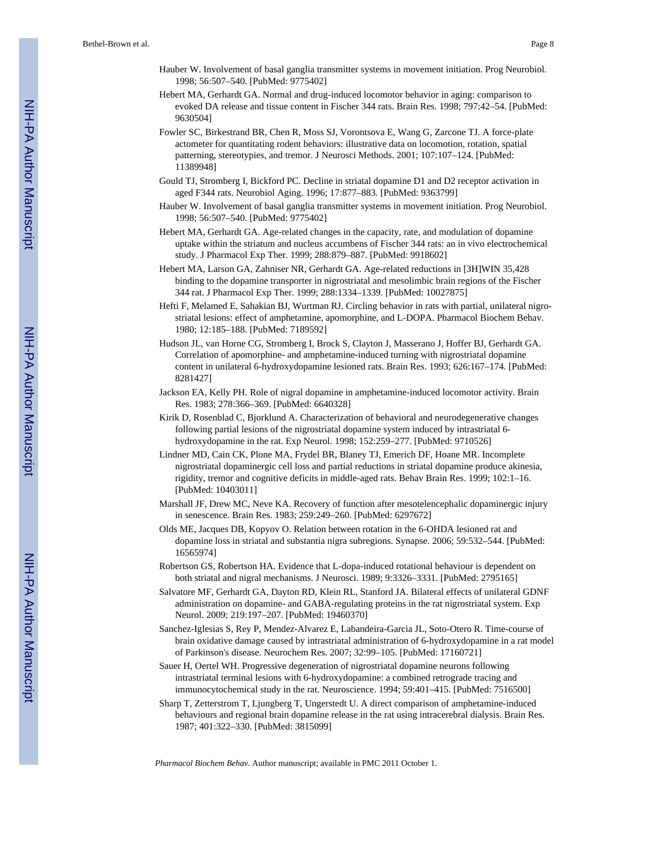- Hauber W. Involvement of basal ganglia transmitter systems in movement initiation. Prog Neurobiol. 1998; 56:507–540. [PubMed: 9775402]
- Hebert MA, Gerhardt GA. Normal and drug-induced locomotor behavior in aging: comparison to evoked DA release and tissue content in Fischer 344 rats. Brain Res. 1998; 797:42–54. [PubMed: 9630504]
- Fowler SC, Birkestrand BR, Chen R, Moss SJ, Vorontsova E, Wang G, Zarcone TJ. A force-plate actometer for quantitating rodent behaviors: illustrative data on locomotion, rotation, spatial patterning, stereotypies, and tremor. J Neurosci Methods. 2001; 107:107–124. [PubMed: 11389948]
- Gould TJ, Stromberg I, Bickford PC. Decline in striatal dopamine D1 and D2 receptor activation in aged F344 rats. Neurobiol Aging. 1996; 17:877–883. [PubMed: 9363799]
- Hauber W. Involvement of basal ganglia transmitter systems in movement initiation. Prog Neurobiol. 1998; 56:507–540. [PubMed: 9775402]
- Hebert MA, Gerhardt GA. Age-related changes in the capacity, rate, and modulation of dopamine uptake within the striatum and nucleus accumbens of Fischer 344 rats: an in vivo electrochemical study. J Pharmacol Exp Ther. 1999; 288:879–887. [PubMed: 9918602]
- Hebert MA, Larson GA, Zahniser NR, Gerhardt GA. Age-related reductions in [3H]WIN 35,428 binding to the dopamine transporter in nigrostriatal and mesolimbic brain regions of the Fischer 344 rat. J Pharmacol Exp Ther. 1999; 288:1334–1339. [PubMed: 10027875]
- Hefti F, Melamed E, Sahakian BJ, Wurtman RJ. Circling behavior in rats with partial, unilateral nigrostriatal lesions: effect of amphetamine, apomorphine, and L-DOPA. Pharmacol Biochem Behav. 1980; 12:185–188. [PubMed: 7189592]
- Hudson JL, van Horne CG, Stromberg I, Brock S, Clayton J, Masserano J, Hoffer BJ, Gerhardt GA. Correlation of apomorphine- and amphetamine-induced turning with nigrostriatal dopamine content in unilateral 6-hydroxydopamine lesioned rats. Brain Res. 1993; 626:167–174. [PubMed: 8281427]
- Jackson EA, Kelly PH. Role of nigral dopamine in amphetamine-induced locomotor activity. Brain Res. 1983; 278:366–369. [PubMed: 6640328]
- Kirik D, Rosenblad C, Bjorklund A. Characterization of behavioral and neurodegenerative changes following partial lesions of the nigrostriatal dopamine system induced by intrastriatal 6 hydroxydopamine in the rat. Exp Neurol. 1998; 152:259–277. [PubMed: 9710526]
- Lindner MD, Cain CK, Plone MA, Frydel BR, Blaney TJ, Emerich DF, Hoane MR. Incomplete nigrostriatal dopaminergic cell loss and partial reductions in striatal dopamine produce akinesia, rigidity, tremor and cognitive deficits in middle-aged rats. Behav Brain Res. 1999; 102:1–16. [PubMed: 10403011]
- Marshall JF, Drew MC, Neve KA. Recovery of function after mesotelencephalic dopaminergic injury in senescence. Brain Res. 1983; 259:249–260. [PubMed: 6297672]
- Olds ME, Jacques DB, Kopyov O. Relation between rotation in the 6-OHDA lesioned rat and dopamine loss in striatal and substantia nigra subregions. Synapse. 2006; 59:532–544. [PubMed: 16565974]
- Robertson GS, Robertson HA. Evidence that L-dopa-induced rotational behaviour is dependent on both striatal and nigral mechanisms. J Neurosci. 1989; 9:3326–3331. [PubMed: 2795165]
- Salvatore MF, Gerhardt GA, Dayton RD, Klein RL, Stanford JA. Bilateral effects of unilateral GDNF administration on dopamine- and GABA-regulating proteins in the rat nigrostriatal system. Exp Neurol. 2009; 219:197–207. [PubMed: 19460370]
- Sanchez-Iglesias S, Rey P, Mendez-Alvarez E, Labandeira-Garcia JL, Soto-Otero R. Time-course of brain oxidative damage caused by intrastriatal administration of 6-hydroxydopamine in a rat model of Parkinson's disease. Neurochem Res. 2007; 32:99–105. [PubMed: 17160721]
- Sauer H, Oertel WH. Progressive degeneration of nigrostriatal dopamine neurons following intrastriatal terminal lesions with 6-hydroxydopamine: a combined retrograde tracing and immunocytochemical study in the rat. Neuroscience. 1994; 59:401–415. [PubMed: 7516500]
- Sharp T, Zetterstrom T, Ljungberg T, Ungerstedt U. A direct comparison of amphetamine-induced behaviours and regional brain dopamine release in the rat using intracerebral dialysis. Brain Res. 1987; 401:322–330. [PubMed: 3815099]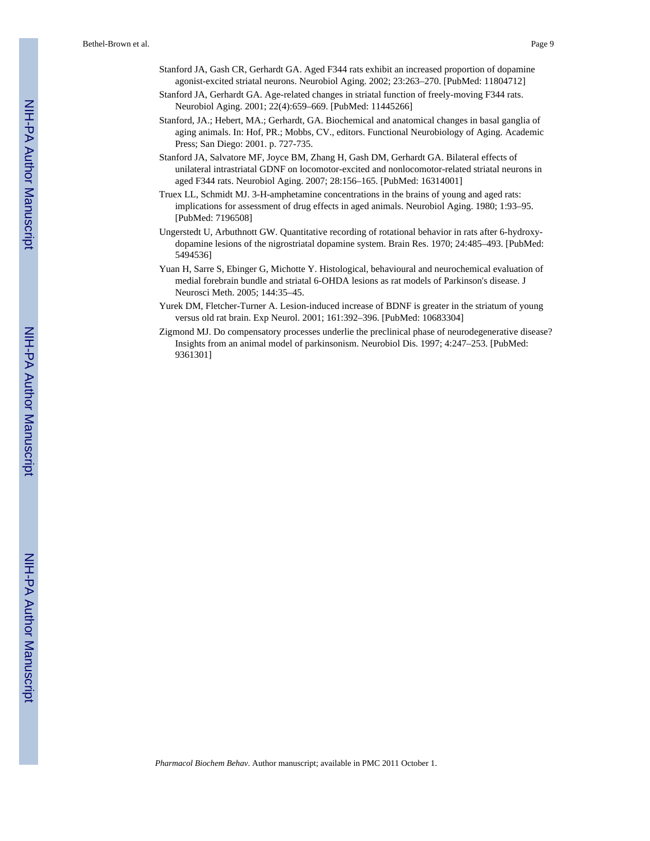- Stanford JA, Gash CR, Gerhardt GA. Aged F344 rats exhibit an increased proportion of dopamine agonist-excited striatal neurons. Neurobiol Aging. 2002; 23:263–270. [PubMed: 11804712]
- Stanford JA, Gerhardt GA. Age-related changes in striatal function of freely-moving F344 rats. Neurobiol Aging. 2001; 22(4):659–669. [PubMed: 11445266]
- Stanford, JA.; Hebert, MA.; Gerhardt, GA. Biochemical and anatomical changes in basal ganglia of aging animals. In: Hof, PR.; Mobbs, CV., editors. Functional Neurobiology of Aging. Academic Press; San Diego: 2001. p. 727-735.
- Stanford JA, Salvatore MF, Joyce BM, Zhang H, Gash DM, Gerhardt GA. Bilateral effects of unilateral intrastriatal GDNF on locomotor-excited and nonlocomotor-related striatal neurons in aged F344 rats. Neurobiol Aging. 2007; 28:156–165. [PubMed: 16314001]
- Truex LL, Schmidt MJ. 3-H-amphetamine concentrations in the brains of young and aged rats: implications for assessment of drug effects in aged animals. Neurobiol Aging. 1980; 1:93–95. [PubMed: 7196508]
- Ungerstedt U, Arbuthnott GW. Quantitative recording of rotational behavior in rats after 6-hydroxydopamine lesions of the nigrostriatal dopamine system. Brain Res. 1970; 24:485–493. [PubMed: 5494536]
- Yuan H, Sarre S, Ebinger G, Michotte Y. Histological, behavioural and neurochemical evaluation of medial forebrain bundle and striatal 6-OHDA lesions as rat models of Parkinson's disease. J Neurosci Meth. 2005; 144:35–45.
- Yurek DM, Fletcher-Turner A. Lesion-induced increase of BDNF is greater in the striatum of young versus old rat brain. Exp Neurol. 2001; 161:392–396. [PubMed: 10683304]
- Zigmond MJ. Do compensatory processes underlie the preclinical phase of neurodegenerative disease? Insights from an animal model of parkinsonism. Neurobiol Dis. 1997; 4:247–253. [PubMed: 9361301]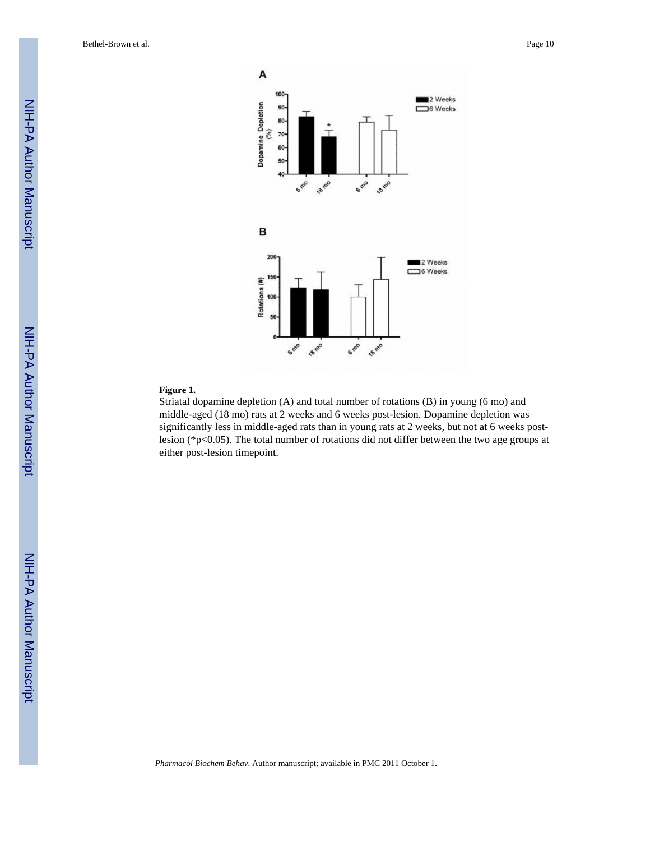

#### **Figure 1.**

Striatal dopamine depletion (A) and total number of rotations (B) in young (6 mo) and middle-aged (18 mo) rats at 2 weeks and 6 weeks post-lesion. Dopamine depletion was significantly less in middle-aged rats than in young rats at 2 weeks, but not at 6 weeks postlesion (\*p<0.05). The total number of rotations did not differ between the two age groups at either post-lesion timepoint.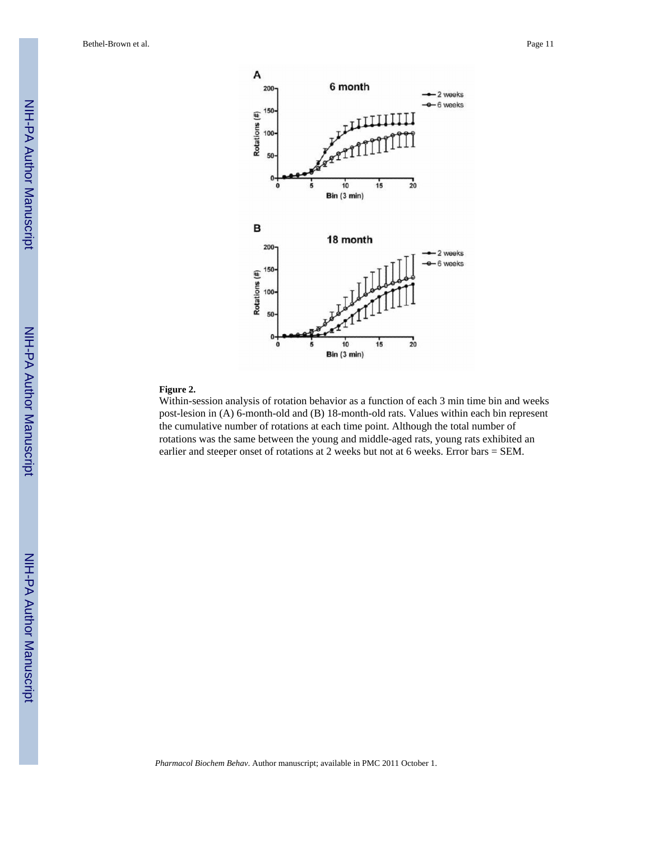

#### **Figure 2.**

Within-session analysis of rotation behavior as a function of each 3 min time bin and weeks post-lesion in (A) 6-month-old and (B) 18-month-old rats. Values within each bin represent the cumulative number of rotations at each time point. Although the total number of rotations was the same between the young and middle-aged rats, young rats exhibited an earlier and steeper onset of rotations at 2 weeks but not at 6 weeks. Error bars = SEM.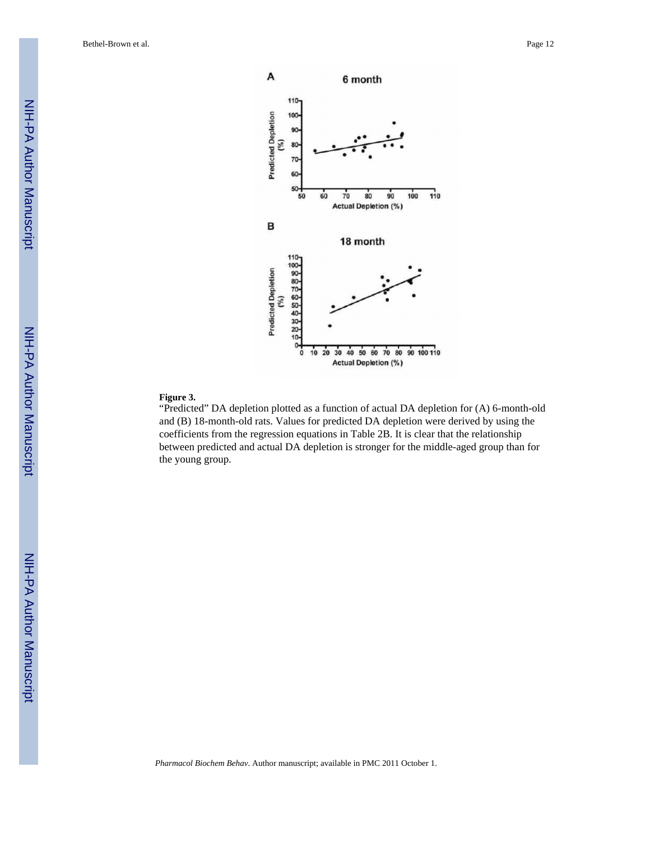

#### **Figure 3.**

"Predicted" DA depletion plotted as a function of actual DA depletion for (A) 6-month-old and (B) 18-month-old rats. Values for predicted DA depletion were derived by using the coefficients from the regression equations in Table 2B. It is clear that the relationship between predicted and actual DA depletion is stronger for the middle-aged group than for the young group.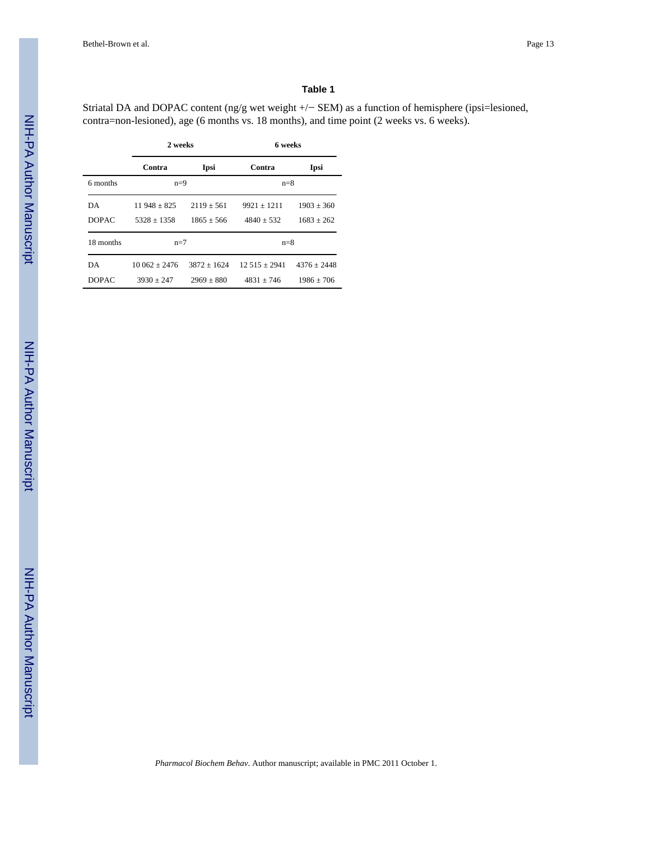#### **Table 1**

Striatal DA and DOPAC content (ng/g wet weight +/− SEM) as a function of hemisphere (ipsi=lesioned, contra=non-lesioned), age (6 months vs. 18 months), and time point (2 weeks vs. 6 weeks).

|              | 2 weeks         |                 | 6 weeks         |                |
|--------------|-----------------|-----------------|-----------------|----------------|
|              | Contra          | Ipsi            | Contra          | Ipsi           |
| 6 months     |                 | $n=9$           |                 | $n=8$          |
| DA           | $11948 + 825$   | $2119 + 561$    | $9921 \pm 1211$ | $1903 \pm 360$ |
| <b>DOPAC</b> | $5328 + 1358$   | $1865 \pm 566$  | $4840 + 532$    | $1683 + 262$   |
| 18 months    | $n=7$           |                 | $n=8$           |                |
| DA           | $10.062 + 2476$ | $3872 \pm 1624$ | $12.515 + 2941$ | $4376 + 2448$  |
| <b>DOPAC</b> | $3930 + 247$    | $2969 + 880$    | $4831 + 746$    | $1986 + 706$   |